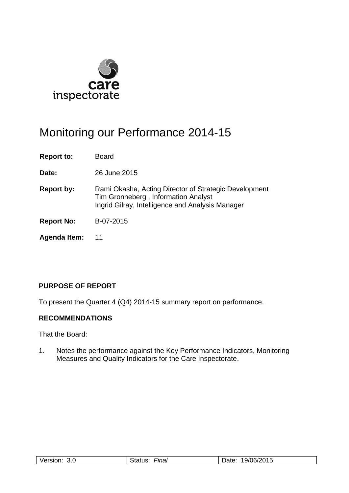

# Monitoring our Performance 2014-15

**Report to:** Board

**Date:** 26 June 2015

- **Report by:** Rami Okasha, Acting Director of Strategic Development Tim Gronneberg , Information Analyst Ingrid Gilray, Intelligence and Analysis Manager
- **Report No:** B-07-2015
- **Agenda Item:** 11

## **PURPOSE OF REPORT**

To present the Quarter 4 (Q4) 2014-15 summary report on performance.

## **RECOMMENDATIONS**

That the Board:

1. Notes the performance against the Key Performance Indicators, Monitoring Measures and Quality Indicators for the Care Inspectorate.

| Version <sup>-</sup><br>3.0 | ·ınal<br>$\overline{1}$<br>$+0+$<br><br>: כו<br>_____ | 19/06/2015<br>.<br>--- |
|-----------------------------|-------------------------------------------------------|------------------------|
|-----------------------------|-------------------------------------------------------|------------------------|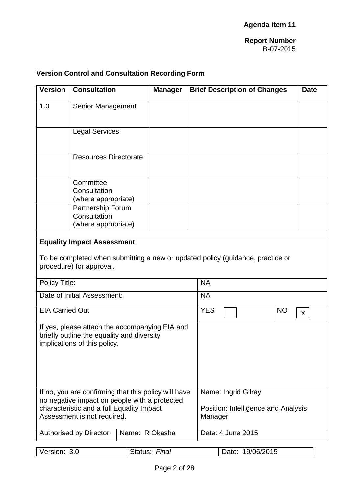## **Version Control and Consultation Recording Form**

| <b>Version</b>                                                                                                                                                                    | <b>Consultation</b>                                                                                                                             |                | <b>Manager</b>                                                        |            |                   | <b>Brief Description of Changes</b> |           | <b>Date</b> |
|-----------------------------------------------------------------------------------------------------------------------------------------------------------------------------------|-------------------------------------------------------------------------------------------------------------------------------------------------|----------------|-----------------------------------------------------------------------|------------|-------------------|-------------------------------------|-----------|-------------|
| 1.0                                                                                                                                                                               | <b>Senior Management</b>                                                                                                                        |                |                                                                       |            |                   |                                     |           |             |
|                                                                                                                                                                                   | <b>Legal Services</b>                                                                                                                           |                |                                                                       |            |                   |                                     |           |             |
|                                                                                                                                                                                   | <b>Resources Directorate</b>                                                                                                                    |                |                                                                       |            |                   |                                     |           |             |
|                                                                                                                                                                                   | Committee<br>Consultation<br>(where appropriate)<br>Partnership Forum<br>Consultation<br>(where appropriate)                                    |                |                                                                       |            |                   |                                     |           |             |
|                                                                                                                                                                                   | <b>Equality Impact Assessment</b><br>To be completed when submitting a new or updated policy (guidance, practice or<br>procedure) for approval. |                |                                                                       |            |                   |                                     |           |             |
| Policy Title:                                                                                                                                                                     |                                                                                                                                                 |                |                                                                       | <b>NA</b>  |                   |                                     |           |             |
|                                                                                                                                                                                   | Date of Initial Assessment:                                                                                                                     |                |                                                                       | <b>NA</b>  |                   |                                     |           |             |
| <b>EIA Carried Out</b>                                                                                                                                                            |                                                                                                                                                 |                |                                                                       | <b>YES</b> |                   |                                     | <b>NO</b> | X           |
| If yes, please attach the accompanying EIA and<br>briefly outline the equality and diversity<br>implications of this policy.                                                      |                                                                                                                                                 |                |                                                                       |            |                   |                                     |           |             |
| If no, you are confirming that this policy will have<br>no negative impact on people with a protected<br>characteristic and a full Equality Impact<br>Assessment is not required. |                                                                                                                                                 |                | Name: Ingrid Gilray<br>Position: Intelligence and Analysis<br>Manager |            |                   |                                     |           |             |
|                                                                                                                                                                                   | <b>Authorised by Director</b>                                                                                                                   | Name: R Okasha |                                                                       |            | Date: 4 June 2015 |                                     |           |             |
| Version: 3.0                                                                                                                                                                      |                                                                                                                                                 |                | Status: Final                                                         |            |                   | Date: 19/06/2015                    |           |             |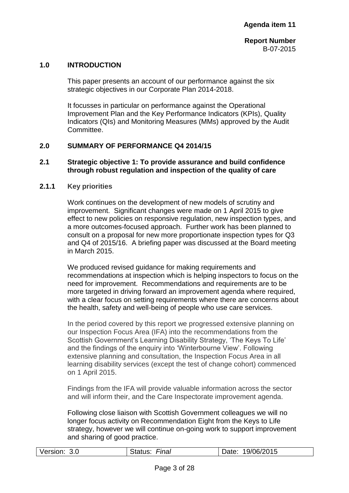## **1.0 INTRODUCTION**

This paper presents an account of our performance against the six strategic objectives in our Corporate Plan 2014-2018.

It focusses in particular on performance against the Operational Improvement Plan and the Key Performance Indicators (KPIs), Quality Indicators (QIs) and Monitoring Measures (MMs) approved by the Audit Committee.

#### **2.0 SUMMARY OF PERFORMANCE Q4 2014/15**

#### **2.1 Strategic objective 1: To provide assurance and build confidence through robust regulation and inspection of the quality of care**

#### **2.1.1 Key priorities**

Work continues on the development of new models of scrutiny and improvement. Significant changes were made on 1 April 2015 to give effect to new policies on responsive regulation, new inspection types, and a more outcomes-focused approach. Further work has been planned to consult on a proposal for new more proportionate inspection types for Q3 and Q4 of 2015/16. A briefing paper was discussed at the Board meeting in March 2015.

We produced revised guidance for making requirements and recommendations at inspection which is helping inspectors to focus on the need for improvement. Recommendations and requirements are to be more targeted in driving forward an improvement agenda where required, with a clear focus on setting requirements where there are concerns about the health, safety and well-being of people who use care services.

In the period covered by this report we progressed extensive planning on our Inspection Focus Area (IFA) into the recommendations from the Scottish Government's Learning Disability Strategy, 'The Keys To Life' and the findings of the enquiry into 'Winterbourne View'. Following extensive planning and consultation, the Inspection Focus Area in all learning disability services (except the test of change cohort) commenced on 1 April 2015.

Findings from the IFA will provide valuable information across the sector and will inform their, and the Care Inspectorate improvement agenda.

Following close liaison with Scottish Government colleagues we will no longer focus activity on Recommendation Eight from the Keys to Life strategy, however we will continue on-going work to support improvement and sharing of good practice.

|--|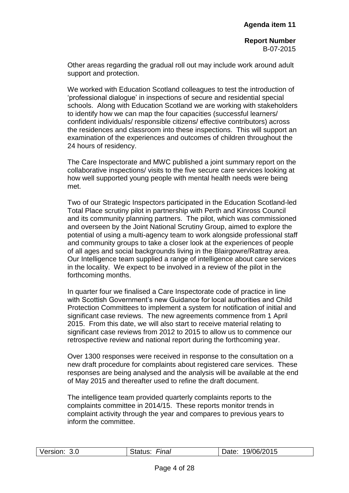Other areas regarding the gradual roll out may include work around adult support and protection.

We worked with Education Scotland colleagues to test the introduction of 'professional dialogue' in inspections of secure and residential special schools. Along with Education Scotland we are working with stakeholders to identify how we can map the four capacities (successful learners/ confident individuals/ responsible citizens/ effective contributors) across the residences and classroom into these inspections. This will support an examination of the experiences and outcomes of children throughout the 24 hours of residency.

The Care Inspectorate and MWC published a joint summary report on the collaborative inspections/ visits to the five secure care services looking at how well supported young people with mental health needs were being met.

Two of our Strategic Inspectors participated in the Education Scotland-led Total Place scrutiny pilot in partnership with Perth and Kinross Council and its community planning partners. The pilot, which was commissioned and overseen by the Joint National Scrutiny Group, aimed to explore the potential of using a multi-agency team to work alongside professional staff and community groups to take a closer look at the experiences of people of all ages and social backgrounds living in the Blairgowre/Rattray area. Our Intelligence team supplied a range of intelligence about care services in the locality. We expect to be involved in a review of the pilot in the forthcoming months.

In quarter four we finalised a Care Inspectorate code of practice in line with Scottish Government's new Guidance for local authorities and Child Protection Committees to implement a system for notification of initial and significant case reviews. The new agreements commence from 1 April 2015. From this date, we will also start to receive material relating to significant case reviews from 2012 to 2015 to allow us to commence our retrospective review and national report during the forthcoming year.

Over 1300 responses were received in response to the consultation on a new draft procedure for complaints about registered care services. These responses are being analysed and the analysis will be available at the end of May 2015 and thereafter used to refine the draft document.

The intelligence team provided quarterly complaints reports to the complaints committee in 2014/15. These reports monitor trends in complaint activity through the year and compares to previous years to inform the committee.

| Version:<br>3.0 | <b>Final</b><br>status: | 19/06/2015<br>Jate: |
|-----------------|-------------------------|---------------------|
|                 |                         |                     |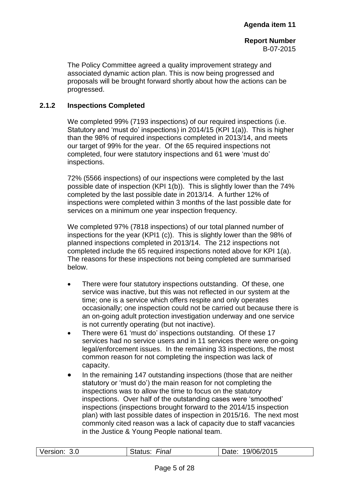The Policy Committee agreed a quality improvement strategy and associated dynamic action plan. This is now being progressed and proposals will be brought forward shortly about how the actions can be progressed.

## **2.1.2 Inspections Completed**

We completed 99% (7193 inspections) of our required inspections (i.e. Statutory and 'must do' inspections) in 2014/15 (KPI 1(a)). This is higher than the 98% of required inspections completed in 2013/14, and meets our target of 99% for the year. Of the 65 required inspections not completed, four were statutory inspections and 61 were 'must do' inspections.

72% (5566 inspections) of our inspections were completed by the last possible date of inspection (KPI 1(b)). This is slightly lower than the 74% completed by the last possible date in 2013/14. A further 12% of inspections were completed within 3 months of the last possible date for services on a minimum one year inspection frequency.

We completed 97% (7818 inspections) of our total planned number of inspections for the year (KPI1 (c)). This is slightly lower than the 98% of planned inspections completed in 2013/14. The 212 inspections not completed include the 65 required inspections noted above for KPI 1(a). The reasons for these inspections not being completed are summarised below.

- There were four statutory inspections outstanding. Of these, one service was inactive, but this was not reflected in our system at the time; one is a service which offers respite and only operates occasionally; one inspection could not be carried out because there is an on-going adult protection investigation underway and one service is not currently operating (but not inactive).
- There were 61 'must do' inspections outstanding. Of these 17 services had no service users and in 11 services there were on-going legal/enforcement issues. In the remaining 33 inspections, the most common reason for not completing the inspection was lack of capacity.
- In the remaining 147 outstanding inspections (those that are neither statutory or 'must do') the main reason for not completing the inspections was to allow the time to focus on the statutory inspections. Over half of the outstanding cases were 'smoothed' inspections (inspections brought forward to the 2014/15 inspection plan) with last possible dates of inspection in 2015/16. The next most commonly cited reason was a lack of capacity due to staff vacancies in the Justice & Young People national team.

| Version: | Final   | 19/06/2015 |
|----------|---------|------------|
| 3.0      | Status: | Date:      |
|          |         |            |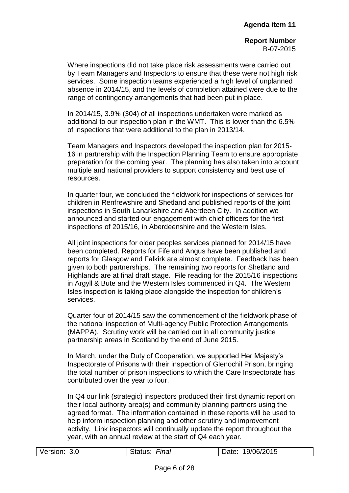Where inspections did not take place risk assessments were carried out by Team Managers and Inspectors to ensure that these were not high risk services. Some inspection teams experienced a high level of unplanned absence in 2014/15, and the levels of completion attained were due to the range of contingency arrangements that had been put in place.

In 2014/15, 3.9% (304) of all inspections undertaken were marked as additional to our inspection plan in the WMT. This is lower than the 6.5% of inspections that were additional to the plan in 2013/14.

Team Managers and Inspectors developed the inspection plan for 2015- 16 in partnership with the Inspection Planning Team to ensure appropriate preparation for the coming year. The planning has also taken into account multiple and national providers to support consistency and best use of resources.

In quarter four, we concluded the fieldwork for inspections of services for children in Renfrewshire and Shetland and published reports of the joint inspections in South Lanarkshire and Aberdeen City. In addition we announced and started our engagement with chief officers for the first inspections of 2015/16, in Aberdeenshire and the Western Isles.

All joint inspections for older peoples services planned for 2014/15 have been completed. Reports for Fife and Angus have been published and reports for Glasgow and Falkirk are almost complete. Feedback has been given to both partnerships. The remaining two reports for Shetland and Highlands are at final draft stage. File reading for the 2015/16 inspections in Argyll & Bute and the Western Isles commenced in Q4. The Western Isles inspection is taking place alongside the inspection for children's services.

Quarter four of 2014/15 saw the commencement of the fieldwork phase of the national inspection of Multi-agency Public Protection Arrangements (MAPPA). Scrutiny work will be carried out in all community justice partnership areas in Scotland by the end of June 2015.

In March, under the Duty of Cooperation, we supported Her Majesty's Inspectorate of Prisons with their inspection of Glenochil Prison, bringing the total number of prison inspections to which the Care Inspectorate has contributed over the year to four.

In Q4 our link (strategic) inspectors produced their first dynamic report on their local authority area(s) and community planning partners using the agreed format. The information contained in these reports will be used to help inform inspection planning and other scrutiny and improvement activity. Link inspectors will continually update the report throughout the year, with an annual review at the start of Q4 each year.

| 19/06/2015<br>Version:<br>Final<br>Date:<br>3.0<br>Status: |
|------------------------------------------------------------|
|------------------------------------------------------------|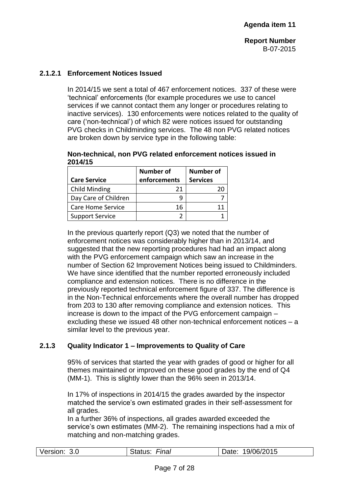## **2.1.2.1 Enforcement Notices Issued**

In 2014/15 we sent a total of 467 enforcement notices. 337 of these were 'technical' enforcements (for example procedures we use to cancel services if we cannot contact them any longer or procedures relating to inactive services). 130 enforcements were notices related to the quality of care ('non-technical') of which 82 were notices issued for outstanding PVG checks in Childminding services. The 48 non PVG related notices are broken down by service type in the following table:

**Non-technical, non PVG related enforcement notices issued in 2014/15**

|                          | <b>Number of</b> | <b>Number of</b> |
|--------------------------|------------------|------------------|
| <b>Care Service</b>      | enforcements     | <b>Services</b>  |
| <b>Child Minding</b>     | 21               |                  |
| Day Care of Children     |                  |                  |
| <b>Care Home Service</b> | 16               |                  |
| <b>Support Service</b>   |                  |                  |

In the previous quarterly report  $(Q3)$  we noted that the number of enforcement notices was considerably higher than in 2013/14, and suggested that the new reporting procedures had had an impact along with the PVG enforcement campaign which saw an increase in the number of Section 62 Improvement Notices being issued to Childminders. We have since identified that the number reported erroneously included compliance and extension notices. There is no difference in the previously reported technical enforcement figure of 337. The difference is in the Non-Technical enforcements where the overall number has dropped from 203 to 130 after removing compliance and extension notices. This increase is down to the impact of the PVG enforcement campaign – excluding these we issued 48 other non-technical enforcement notices – a similar level to the previous year.

## **2.1.3 Quality Indicator 1 – Improvements to Quality of Care**

95% of services that started the year with grades of good or higher for all themes maintained or improved on these good grades by the end of Q4 (MM-1). This is slightly lower than the 96% seen in 2013/14.

In 17% of inspections in 2014/15 the grades awarded by the inspector matched the service's own estimated grades in their self-assessment for all grades.

In a further 36% of inspections, all grades awarded exceeded the service's own estimates (MM-2). The remaining inspections had a mix of matching and non-matching grades.

| Version:<br>3.0 | Final<br>ડાatus: | 19/06/2015<br>Date: |
|-----------------|------------------|---------------------|
|                 |                  |                     |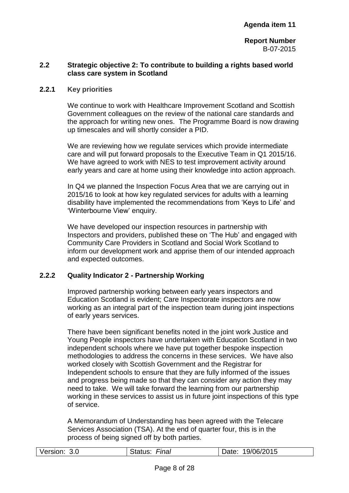## **2.2 Strategic objective 2: To contribute to building a rights based world class care system in Scotland**

#### **2.2.1 Key priorities**

We continue to work with Healthcare Improvement Scotland and Scottish Government colleagues on the review of the national care standards and the approach for writing new ones. The Programme Board is now drawing up timescales and will shortly consider a PID.

We are reviewing how we regulate services which provide intermediate care and will put forward proposals to the Executive Team in Q1 2015/16. We have agreed to work with NES to test improvement activity around early years and care at home using their knowledge into action approach.

In Q4 we planned the Inspection Focus Area that we are carrying out in 2015/16 to look at how key regulated services for adults with a learning disability have implemented the recommendations from 'Keys to Life' and 'Winterbourne View' enquiry.

We have developed our inspection resources in partnership with Inspectors and providers, published these on 'The Hub' and engaged with Community Care Providers in Scotland and Social Work Scotland to inform our development work and apprise them of our intended approach and expected outcomes.

## **2.2.2 Quality Indicator 2 - Partnership Working**

Improved partnership working between early years inspectors and Education Scotland is evident; Care Inspectorate inspectors are now working as an integral part of the inspection team during joint inspections of early years services.

There have been significant benefits noted in the joint work Justice and Young People inspectors have undertaken with Education Scotland in two independent schools where we have put together bespoke inspection methodologies to address the concerns in these services. We have also worked closely with Scottish Government and the Registrar for Independent schools to ensure that they are fully informed of the issues and progress being made so that they can consider any action they may need to take. We will take forward the learning from our partnership working in these services to assist us in future joint inspections of this type of service.

A Memorandum of Understanding has been agreed with the Telecare Services Association (TSA). At the end of quarter four, this is in the process of being signed off by both parties.

| Version: | Final   | 19/06/2015 |
|----------|---------|------------|
| 3.0      | Status: | Date:      |
|          |         |            |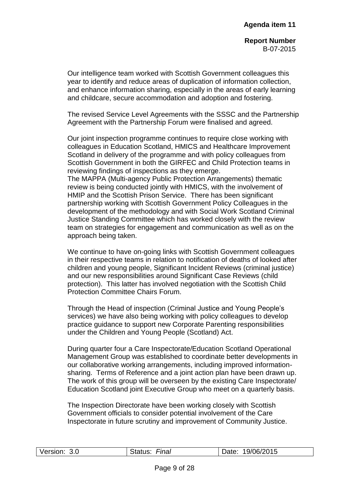Our intelligence team worked with Scottish Government colleagues this year to identify and reduce areas of duplication of information collection, and enhance information sharing, especially in the areas of early learning and childcare, secure accommodation and adoption and fostering.

The revised Service Level Agreements with the SSSC and the Partnership Agreement with the Partnership Forum were finalised and agreed.

Our joint inspection programme continues to require close working with colleagues in Education Scotland, HMICS and Healthcare Improvement Scotland in delivery of the programme and with policy colleagues from Scottish Government in both the GIRFEC and Child Protection teams in reviewing findings of inspections as they emerge.

The MAPPA (Multi-agency Public Protection Arrangements) thematic review is being conducted jointly with HMICS, with the involvement of HMIP and the Scottish Prison Service. There has been significant partnership working with Scottish Government Policy Colleagues in the development of the methodology and with Social Work Scotland Criminal Justice Standing Committee which has worked closely with the review team on strategies for engagement and communication as well as on the approach being taken.

We continue to have on-going links with Scottish Government colleagues in their respective teams in relation to notification of deaths of looked after children and young people, Significant Incident Reviews (criminal justice) and our new responsibilities around Significant Case Reviews (child protection). This latter has involved negotiation with the Scottish Child Protection Committee Chairs Forum.

Through the Head of inspection (Criminal Justice and Young People's services) we have also being working with policy colleagues to develop practice guidance to support new Corporate Parenting responsibilities under the Children and Young People (Scotland) Act.

During quarter four a Care Inspectorate/Education Scotland Operational Management Group was established to coordinate better developments in our collaborative working arrangements, including improved informationsharing. Terms of Reference and a joint action plan have been drawn up. The work of this group will be overseen by the existing Care Inspectorate/ Education Scotland joint Executive Group who meet on a quarterly basis.

The Inspection Directorate have been working closely with Scottish Government officials to consider potential involvement of the Care Inspectorate in future scrutiny and improvement of Community Justice.

| Version:<br>3.0 | <b>Final</b><br>status: | 19/06/2015<br>Jate: |
|-----------------|-------------------------|---------------------|
|                 |                         |                     |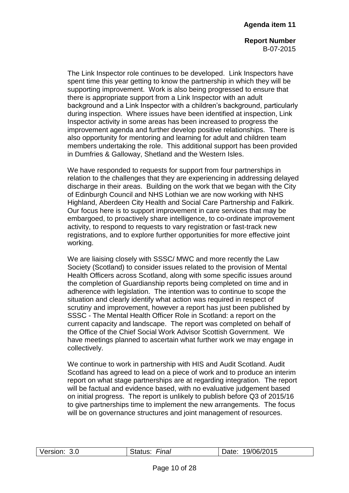The Link Inspector role continues to be developed. Link Inspectors have spent time this year getting to know the partnership in which they will be supporting improvement. Work is also being progressed to ensure that there is appropriate support from a Link Inspector with an adult background and a Link Inspector with a children's background, particularly during inspection. Where issues have been identified at inspection, Link Inspector activity in some areas has been increased to progress the improvement agenda and further develop positive relationships. There is also opportunity for mentoring and learning for adult and children team members undertaking the role. This additional support has been provided in Dumfries & Galloway, Shetland and the Western Isles.

We have responded to requests for support from four partnerships in relation to the challenges that they are experiencing in addressing delayed discharge in their areas. Building on the work that we began with the City of Edinburgh Council and NHS Lothian we are now working with NHS Highland, Aberdeen City Health and Social Care Partnership and Falkirk. Our focus here is to support improvement in care services that may be embargoed, to proactively share intelligence, to co-ordinate improvement activity, to respond to requests to vary registration or fast-track new registrations, and to explore further opportunities for more effective joint working.

We are liaising closely with SSSC/ MWC and more recently the Law Society (Scotland) to consider issues related to the provision of Mental Health Officers across Scotland, along with some specific issues around the completion of Guardianship reports being completed on time and in adherence with legislation. The intention was to continue to scope the situation and clearly identify what action was required in respect of scrutiny and improvement, however a report has just been published by SSSC - The Mental Health Officer Role in Scotland: a report on the current capacity and landscape. The report was completed on behalf of the Office of the Chief Social Work Advisor Scottish Government. We have meetings planned to ascertain what further work we may engage in collectively.

We continue to work in partnership with HIS and Audit Scotland. Audit Scotland has agreed to lead on a piece of work and to produce an interim report on what stage partnerships are at regarding integration. The report will be factual and evidence based, with no evaluative judgement based on initial progress. The report is unlikely to publish before Q3 of 2015/16 to give partnerships time to implement the new arrangements. The focus will be on governance structures and joint management of resources.

| Version: | Final   | 19/06/2015 |
|----------|---------|------------|
| 3.0      | Status: | Date:      |
|          |         |            |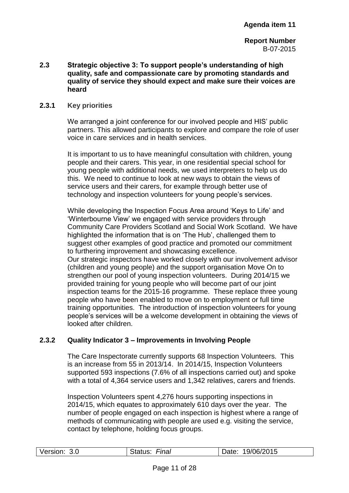## **2.3 Strategic objective 3: To support people's understanding of high quality, safe and compassionate care by promoting standards and quality of service they should expect and make sure their voices are heard**

## **2.3.1 Key priorities**

We arranged a joint conference for our involved people and HIS' public partners. This allowed participants to explore and compare the role of user voice in care services and in health services.

It is important to us to have meaningful consultation with children, young people and their carers. This year, in one residential special school for young people with additional needs, we used interpreters to help us do this. We need to continue to look at new ways to obtain the views of service users and their carers, for example through better use of technology and inspection volunteers for young people's services.

While developing the Inspection Focus Area around 'Keys to Life' and 'Winterbourne View' we engaged with service providers through Community Care Providers Scotland and Social Work Scotland. We have highlighted the information that is on 'The Hub', challenged them to suggest other examples of good practice and promoted our commitment to furthering improvement and showcasing excellence. Our strategic inspectors have worked closely with our involvement advisor (children and young people) and the support organisation Move On to strengthen our pool of young inspection volunteers. During 2014/15 we provided training for young people who will become part of our joint inspection teams for the 2015-16 programme. These replace three young people who have been enabled to move on to employment or full time training opportunities. The introduction of inspection volunteers for young people's services will be a welcome development in obtaining the views of looked after children.

## **2.3.2 Quality Indicator 3 – Improvements in Involving People**

The Care Inspectorate currently supports 68 Inspection Volunteers. This is an increase from 55 in 2013/14. In 2014/15, Inspection Volunteers supported 593 inspections (7.6% of all inspections carried out) and spoke with a total of 4,364 service users and 1,342 relatives, carers and friends.

Inspection Volunteers spent 4,276 hours supporting inspections in 2014/15, which equates to approximately 610 days over the year. The number of people engaged on each inspection is highest where a range of methods of communicating with people are used e.g. visiting the service, contact by telephone, holding focus groups.

| Version: 3.0 | Final<br>Status: | Date: 19/06/2015 |
|--------------|------------------|------------------|
|              |                  |                  |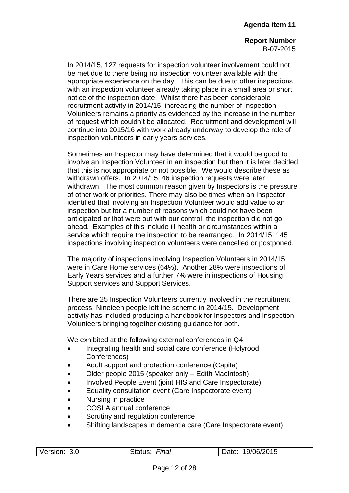In 2014/15, 127 requests for inspection volunteer involvement could not be met due to there being no inspection volunteer available with the appropriate experience on the day. This can be due to other inspections with an inspection volunteer already taking place in a small area or short notice of the inspection date. Whilst there has been considerable recruitment activity in 2014/15, increasing the number of Inspection Volunteers remains a priority as evidenced by the increase in the number of request which couldn't be allocated. Recruitment and development will continue into 2015/16 with work already underway to develop the role of inspection volunteers in early years services.

Sometimes an Inspector may have determined that it would be good to involve an Inspection Volunteer in an inspection but then it is later decided that this is not appropriate or not possible. We would describe these as withdrawn offers. In 2014/15, 46 inspection requests were later withdrawn. The most common reason given by Inspectors is the pressure of other work or priorities. There may also be times when an Inspector identified that involving an Inspection Volunteer would add value to an inspection but for a number of reasons which could not have been anticipated or that were out with our control, the inspection did not go ahead. Examples of this include ill health or circumstances within a service which require the inspection to be rearranged. In 2014/15, 145 inspections involving inspection volunteers were cancelled or postponed.

The majority of inspections involving Inspection Volunteers in 2014/15 were in Care Home services (64%). Another 28% were inspections of Early Years services and a further 7% were in inspections of Housing Support services and Support Services.

There are 25 Inspection Volunteers currently involved in the recruitment process. Nineteen people left the scheme in 2014/15. Development activity has included producing a handbook for Inspectors and Inspection Volunteers bringing together existing guidance for both.

We exhibited at the following external conferences in Q4:

- Integrating health and social care conference (Holyrood Conferences)
- Adult support and protection conference (Capita)
- Older people 2015 (speaker only Edith MacIntosh)
- Involved People Event (joint HIS and Care Inspectorate)
- Equality consultation event (Care Inspectorate event)
- Nursing in practice
- COSLA annual conference
- Scrutiny and regulation conference
- Shifting landscapes in dementia care (Care Inspectorate event)

| Version:<br>3.0 | <del>⊑</del> inal<br>$\bigcap_{i=1}^{n}$<br>Status | 19/06/2015<br>Date: |
|-----------------|----------------------------------------------------|---------------------|
|                 |                                                    |                     |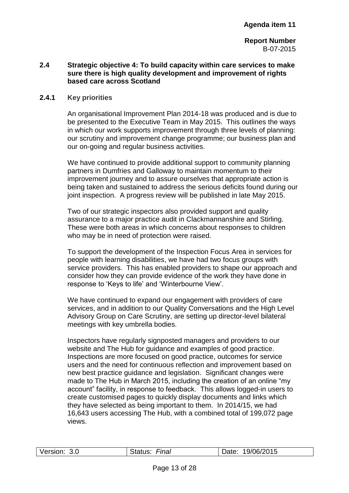## **2.4 Strategic objective 4: To build capacity within care services to make sure there is high quality development and improvement of rights based care across Scotland**

#### **2.4.1 Key priorities**

An organisational Improvement Plan 2014-18 was produced and is due to be presented to the Executive Team in May 2015. This outlines the ways in which our work supports improvement through three levels of planning: our scrutiny and improvement change programme; our business plan and our on-going and regular business activities.

We have continued to provide additional support to community planning partners in Dumfries and Galloway to maintain momentum to their improvement journey and to assure ourselves that appropriate action is being taken and sustained to address the serious deficits found during our joint inspection. A progress review will be published in late May 2015.

Two of our strategic inspectors also provided support and quality assurance to a major practice audit in Clackmannanshire and Stirling. These were both areas in which concerns about responses to children who may be in need of protection were raised.

To support the development of the Inspection Focus Area in services for people with learning disabilities, we have had two focus groups with service providers. This has enabled providers to shape our approach and consider how they can provide evidence of the work they have done in response to 'Keys to life' and 'Winterbourne View'.

We have continued to expand our engagement with providers of care services, and in addition to our Quality Conversations and the High Level Advisory Group on Care Scrutiny, are setting up director-level bilateral meetings with key umbrella bodies.

Inspectors have regularly signposted managers and providers to our website and The Hub for guidance and examples of good practice. Inspections are more focused on good practice, outcomes for service users and the need for continuous reflection and improvement based on new best practice guidance and legislation. Significant changes were made to The Hub in March 2015, including the creation of an online "my account" facility, in response to feedback. This allows logged-in users to create customised pages to quickly display documents and links which they have selected as being important to them. In 2014/15, we had 16,643 users accessing The Hub, with a combined total of 199,072 page views.

| Version: | Final   | 19/06/2015 |
|----------|---------|------------|
| 3.0      | Status: | Date:      |
|          |         |            |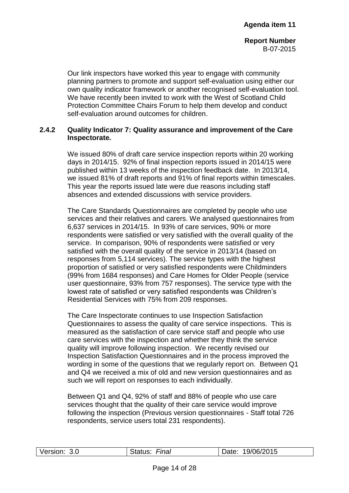Our link inspectors have worked this year to engage with community planning partners to promote and support self-evaluation using either our own quality indicator framework or another recognised self-evaluation tool. We have recently been invited to work with the West of Scotland Child Protection Committee Chairs Forum to help them develop and conduct self-evaluation around outcomes for children.

## **2.4.2 Quality Indicator 7: Quality assurance and improvement of the Care Inspectorate.**

We issued 80% of draft care service inspection reports within 20 working days in 2014/15. 92% of final inspection reports issued in 2014/15 were published within 13 weeks of the inspection feedback date. In 2013/14, we issued 81% of draft reports and 91% of final reports within timescales. This year the reports issued late were due reasons including staff absences and extended discussions with service providers.

The Care Standards Questionnaires are completed by people who use services and their relatives and carers. We analysed questionnaires from 6,637 services in 2014/15. In 93% of care services, 90% or more respondents were satisfied or very satisfied with the overall quality of the service. In comparison, 90% of respondents were satisfied or very satisfied with the overall quality of the service in 2013/14 (based on responses from 5,114 services). The service types with the highest proportion of satisfied or very satisfied respondents were Childminders (99% from 1684 responses) and Care Homes for Older People (service user questionnaire, 93% from 757 responses). The service type with the lowest rate of satisfied or very satisfied respondents was Children's Residential Services with 75% from 209 responses.

The Care Inspectorate continues to use Inspection Satisfaction Questionnaires to assess the quality of care service inspections. This is measured as the satisfaction of care service staff and people who use care services with the inspection and whether they think the service quality will improve following inspection. We recently revised our Inspection Satisfaction Questionnaires and in the process improved the wording in some of the questions that we regularly report on. Between Q1 and Q4 we received a mix of old and new version questionnaires and as such we will report on responses to each individually.

Between Q1 and Q4, 92% of staff and 88% of people who use care services thought that the quality of their care service would improve following the inspection (Previous version questionnaires - Staff total 726 respondents, service users total 231 respondents).

| Version:<br>3.0 | Final<br>≀tatus | 19/06/2015<br>)ate: |
|-----------------|-----------------|---------------------|
|                 |                 |                     |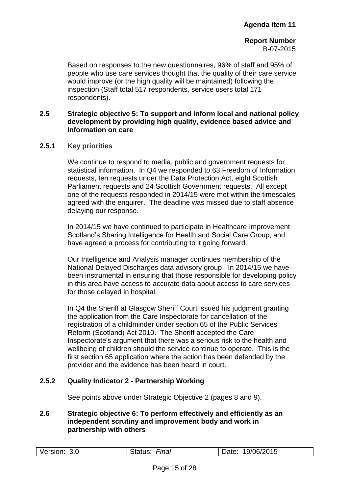Based on responses to the new questionnaires, 96% of staff and 95% of people who use care services thought that the quality of their care service would improve (or the high quality will be maintained) following the inspection (Staff total 517 respondents, service users total 171 respondents).

## **2.5 Strategic objective 5: To support and inform local and national policy development by providing high quality, evidence based advice and Information on care**

**2.5.1 Key priorities**

We continue to respond to media, public and government requests for statistical information. In Q4 we responded to 63 Freedom of Information requests, ten requests under the Data Protection Act, eight Scottish Parliament requests and 24 Scottish Government requests. All except one of the requests responded in 2014/15 were met within the timescales agreed with the enquirer. The deadline was missed due to staff absence delaying our response.

In 2014/15 we have continued to participate in Healthcare Improvement Scotland's Sharing Intelligence for Health and Social Care Group, and have agreed a process for contributing to it going forward.

Our Intelligence and Analysis manager continues membership of the National Delayed Discharges data advisory group. In 2014/15 we have been instrumental in ensuring that those responsible for developing policy in this area have access to accurate data about access to care services for those delayed in hospital.

In Q4 the Sheriff at Glasgow Sheriff Court issued his judgment granting the application from the Care Inspectorate for cancellation of the registration of a childminder under section 65 of the Public Services Reform (Scotland) Act 2010. The Sheriff accepted the Care Inspectorate's argument that there was a serious risk to the health and wellbeing of children should the service continue to operate. This is the first section 65 application where the action has been defended by the provider and the evidence has been heard in court.

## **2.5.2 Quality Indicator 2 - Partnership Working**

See points above under Strategic Objective 2 (pages 8 and 9).

## **2.6 Strategic objective 6: To perform effectively and efficiently as an independent scrutiny and improvement body and work in partnership with others**

| Version: | Final   | 19/06/2015 |
|----------|---------|------------|
| 3.0      | Status: | Date:      |
|          |         |            |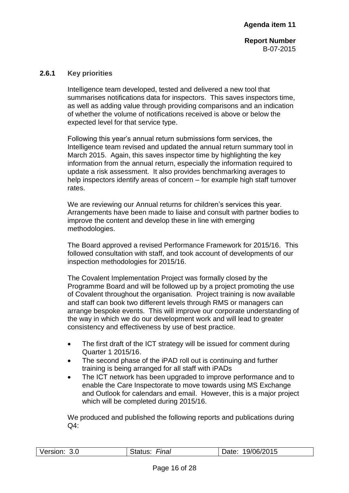## **2.6.1 Key priorities**

Intelligence team developed, tested and delivered a new tool that summarises notifications data for inspectors. This saves inspectors time, as well as adding value through providing comparisons and an indication of whether the volume of notifications received is above or below the expected level for that service type.

Following this year's annual return submissions form services, the Intelligence team revised and updated the annual return summary tool in March 2015. Again, this saves inspector time by highlighting the key information from the annual return, especially the information required to update a risk assessment. It also provides benchmarking averages to help inspectors identify areas of concern – for example high staff turnover rates.

We are reviewing our Annual returns for children's services this year. Arrangements have been made to liaise and consult with partner bodies to improve the content and develop these in line with emerging methodologies.

The Board approved a revised Performance Framework for 2015/16. This followed consultation with staff, and took account of developments of our inspection methodologies for 2015/16.

The Covalent Implementation Project was formally closed by the Programme Board and will be followed up by a project promoting the use of Covalent throughout the organisation. Project training is now available and staff can book two different levels through RMS or managers can arrange bespoke events. This will improve our corporate understanding of the way in which we do our development work and will lead to greater consistency and effectiveness by use of best practice.

- The first draft of the ICT strategy will be issued for comment during Quarter 1 2015/16.
- The second phase of the iPAD roll out is continuing and further training is being arranged for all staff with iPADs
- The ICT network has been upgraded to improve performance and to enable the Care Inspectorate to move towards using MS Exchange and Outlook for calendars and email. However, this is a major project which will be completed during 2015/16.

We produced and published the following reports and publications during Q4:

| Version: 3.0 | Final<br>Status: | Date: 19/06/2015 |
|--------------|------------------|------------------|
|              |                  |                  |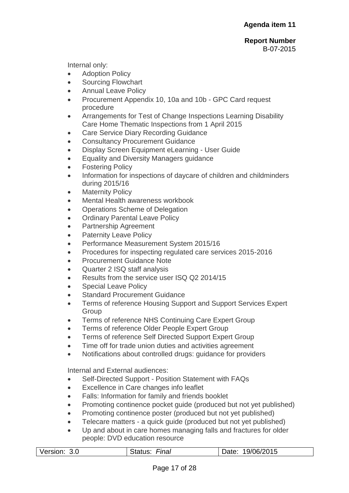Internal only:

- Adoption Policy
- Sourcing Flowchart
- Annual Leave Policy
- Procurement Appendix 10, 10a and 10b GPC Card request procedure
- Arrangements for Test of Change Inspections Learning Disability Care Home Thematic Inspections from 1 April 2015
- Care Service Diary Recording Guidance
- Consultancy Procurement Guidance
- Display Screen Equipment eLearning User Guide
- Equality and Diversity Managers guidance
- Fostering Policy
- Information for inspections of daycare of children and childminders during 2015/16
- Maternity Policy
- Mental Health awareness workbook
- Operations Scheme of Delegation
- Ordinary Parental Leave Policy
- Partnership Agreement
- Paternity Leave Policy
- Performance Measurement System 2015/16
- Procedures for inspecting regulated care services 2015-2016
- Procurement Guidance Note
- Quarter 2 ISQ staff analysis
- Results from the service user ISQ Q2 2014/15
- Special Leave Policy
- Standard Procurement Guidance
- **Terms of reference Housing Support and Support Services Expert Group**
- Terms of reference NHS Continuing Care Expert Group
- Terms of reference Older People Expert Group
- Terms of reference Self Directed Support Expert Group
- Time off for trade union duties and activities agreement
- Notifications about controlled drugs: guidance for providers

Internal and External audiences:

- Self-Directed Support Position Statement with FAQs
- Excellence in Care changes info leaflet
- Falls: Information for family and friends booklet
- Promoting continence pocket guide (produced but not yet published)
- Promoting continence poster (produced but not yet published)
- Telecare matters a quick guide (produced but not yet published)
- Up and about in care homes managing falls and fractures for older people: DVD education resource

| Version: | Status: | 19/06/2015 |
|----------|---------|------------|
| 3.0      | Final   | Date:      |
|          |         |            |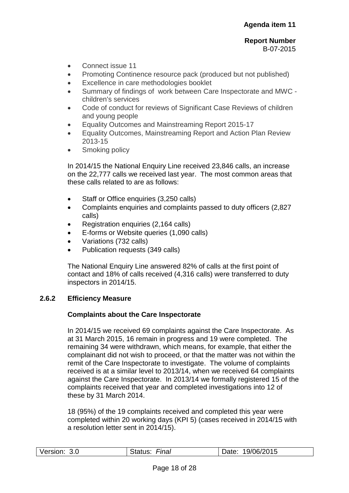- Connect issue 11
- Promoting Continence resource pack (produced but not published)
- Excellence in care methodologies booklet
- Summary of findings of work between Care Inspectorate and MWC children's services
- Code of conduct for reviews of Significant Case Reviews of children and young people
- Equality Outcomes and Mainstreaming Report 2015-17
- Equality Outcomes, Mainstreaming Report and Action Plan Review 2013-15
- Smoking policy

In 2014/15 the National Enquiry Line received 23,846 calls, an increase on the 22,777 calls we received last year. The most common areas that these calls related to are as follows:

- Staff or Office enquiries (3,250 calls)
- Complaints enquiries and complaints passed to duty officers (2,827 calls)
- Registration enquiries (2,164 calls)
- E-forms or Website queries (1,090 calls)
- Variations (732 calls)
- Publication requests (349 calls)

The National Enquiry Line answered 82% of calls at the first point of contact and 18% of calls received (4,316 calls) were transferred to duty inspectors in 2014/15.

## **2.6.2 Efficiency Measure**

## **Complaints about the Care Inspectorate**

In 2014/15 we received 69 complaints against the Care Inspectorate. As at 31 March 2015, 16 remain in progress and 19 were completed. The remaining 34 were withdrawn, which means, for example, that either the complainant did not wish to proceed, or that the matter was not within the remit of the Care Inspectorate to investigate. The volume of complaints received is at a similar level to 2013/14, when we received 64 complaints against the Care Inspectorate. In 2013/14 we formally registered 15 of the complaints received that year and completed investigations into 12 of these by 31 March 2014.

18 (95%) of the 19 complaints received and completed this year were completed within 20 working days (KPI 5) (cases received in 2014/15 with a resolution letter sent in 2014/15).

| Version: 3.0 | Final<br>Status: | 19/06/2015<br>Date: |
|--------------|------------------|---------------------|
|              |                  |                     |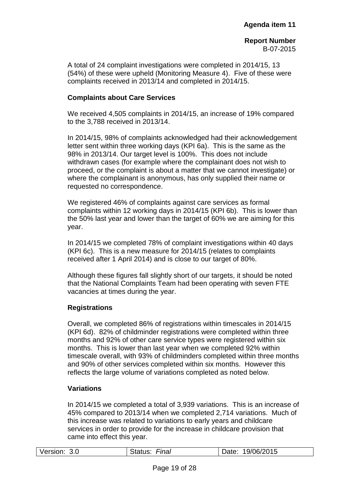A total of 24 complaint investigations were completed in 2014/15, 13 (54%) of these were upheld (Monitoring Measure 4). Five of these were complaints received in 2013/14 and completed in 2014/15.

## **Complaints about Care Services**

We received 4,505 complaints in 2014/15, an increase of 19% compared to the 3,788 received in 2013/14.

In 2014/15, 98% of complaints acknowledged had their acknowledgement letter sent within three working days (KPI 6a). This is the same as the 98% in 2013/14. Our target level is 100%. This does not include withdrawn cases (for example where the complainant does not wish to proceed, or the complaint is about a matter that we cannot investigate) or where the complainant is anonymous, has only supplied their name or requested no correspondence.

We registered 46% of complaints against care services as formal complaints within 12 working days in 2014/15 (KPI 6b). This is lower than the 50% last year and lower than the target of 60% we are aiming for this year.

In 2014/15 we completed 78% of complaint investigations within 40 days (KPI 6c). This is a new measure for 2014/15 (relates to complaints received after 1 April 2014) and is close to our target of 80%.

Although these figures fall slightly short of our targets, it should be noted that the National Complaints Team had been operating with seven FTE vacancies at times during the year.

## **Registrations**

Overall, we completed 86% of registrations within timescales in 2014/15 (KPI 6d). 82% of childminder registrations were completed within three months and 92% of other care service types were registered within six months. This is lower than last year when we completed 92% within timescale overall, with 93% of childminders completed within three months and 90% of other services completed within six months. However this reflects the large volume of variations completed as noted below.

## **Variations**

In 2014/15 we completed a total of 3,939 variations. This is an increase of 45% compared to 2013/14 when we completed 2,714 variations. Much of this increase was related to variations to early years and childcare services in order to provide for the increase in childcare provision that came into effect this year.

| 19/06/2015<br>Version:<br>Date:<br>3.0<br><b>Final</b><br>Status: |
|-------------------------------------------------------------------|
|-------------------------------------------------------------------|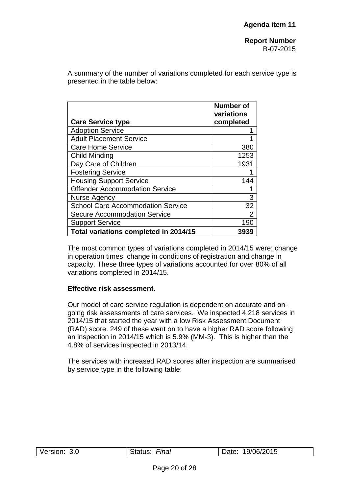A summary of the number of variations completed for each service type is presented in the table below:

|                                          | <b>Number of</b><br>variations |
|------------------------------------------|--------------------------------|
| <b>Care Service type</b>                 | completed                      |
| <b>Adoption Service</b>                  |                                |
| <b>Adult Placement Service</b>           |                                |
| <b>Care Home Service</b>                 | 380                            |
| Child Minding                            | 1253                           |
| Day Care of Children                     | 1931                           |
| <b>Fostering Service</b>                 |                                |
| <b>Housing Support Service</b>           | 144                            |
| <b>Offender Accommodation Service</b>    |                                |
| Nurse Agency                             | 3                              |
| <b>School Care Accommodation Service</b> | 32                             |
| <b>Secure Accommodation Service</b>      | $\overline{2}$                 |
| <b>Support Service</b>                   | 190                            |
| Total variations completed in 2014/15    | 3939                           |

The most common types of variations completed in 2014/15 were; change in operation times, change in conditions of registration and change in capacity. These three types of variations accounted for over 80% of all variations completed in 2014/15.

## **Effective risk assessment.**

Our model of care service regulation is dependent on accurate and ongoing risk assessments of care services. We inspected 4,218 services in 2014/15 that started the year with a low Risk Assessment Document (RAD) score. 249 of these went on to have a higher RAD score following an inspection in 2014/15 which is 5.9% (MM-3). This is higher than the 4.8% of services inspected in 2013/14.

The services with increased RAD scores after inspection are summarised by service type in the following table:

| <b>Final</b><br>06/2015<br>3.0<br>Version:<br>9/1 |
|---------------------------------------------------|
|---------------------------------------------------|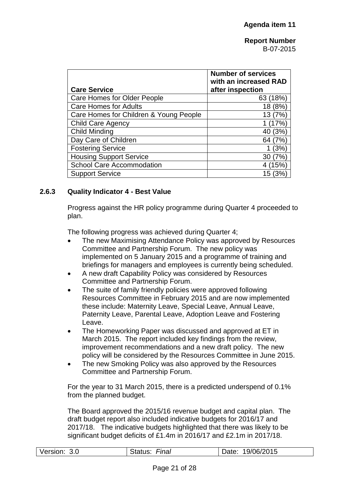|                                        | <b>Number of services</b><br>with an increased RAD |
|----------------------------------------|----------------------------------------------------|
| <b>Care Service</b>                    | after inspection                                   |
| Care Homes for Older People            | (18%)<br>63                                        |
| <b>Care Homes for Adults</b>           | (8%<br>18                                          |
| Care Homes for Children & Young People | (7%<br>13                                          |
| <b>Child Care Agency</b>               | 17%`                                               |
| Child Minding                          | (3%)<br>40                                         |
| Day Care of Children                   | 64 (7%)                                            |
| <b>Fostering Service</b>               | (3%)                                               |
| <b>Housing Support Service</b>         | 7%<br>30                                           |
| <b>School Care Accommodation</b>       | (15%                                               |
| <b>Support Service</b>                 | 15                                                 |

## **2.6.3 Quality Indicator 4 - Best Value**

Progress against the HR policy programme during Quarter 4 proceeded to plan.

The following progress was achieved during Quarter 4;

- The new Maximising Attendance Policy was approved by Resources Committee and Partnership Forum. The new policy was implemented on 5 January 2015 and a programme of training and briefings for managers and employees is currently being scheduled.
- A new draft Capability Policy was considered by Resources Committee and Partnership Forum.
- The suite of family friendly policies were approved following Resources Committee in February 2015 and are now implemented these include: Maternity Leave, Special Leave, Annual Leave, Paternity Leave, Parental Leave, Adoption Leave and Fostering Leave.
- The Homeworking Paper was discussed and approved at ET in March 2015. The report included key findings from the review, improvement recommendations and a new draft policy. The new policy will be considered by the Resources Committee in June 2015.
- The new Smoking Policy was also approved by the Resources Committee and Partnership Forum.

For the year to 31 March 2015, there is a predicted underspend of 0.1% from the planned budget.

The Board approved the 2015/16 revenue budget and capital plan. The draft budget report also included indicative budgets for 2016/17 and 2017/18. The indicative budgets highlighted that there was likely to be significant budget deficits of £1.4m in 2016/17 and £2.1m in 2017/18.

| Version: | Final   | 19/06/2015 |
|----------|---------|------------|
| 3.0      | Status: | Date:      |
|          |         |            |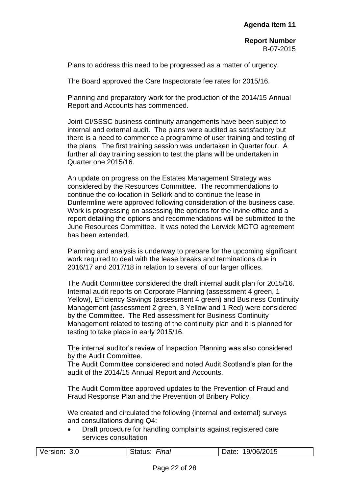Plans to address this need to be progressed as a matter of urgency.

The Board approved the Care Inspectorate fee rates for 2015/16.

Planning and preparatory work for the production of the 2014/15 Annual Report and Accounts has commenced.

Joint CI/SSSC business continuity arrangements have been subject to internal and external audit. The plans were audited as satisfactory but there is a need to commence a programme of user training and testing of the plans. The first training session was undertaken in Quarter four. A further all day training session to test the plans will be undertaken in Quarter one 2015/16.

An update on progress on the Estates Management Strategy was considered by the Resources Committee. The recommendations to continue the co-location in Selkirk and to continue the lease in Dunfermline were approved following consideration of the business case. Work is progressing on assessing the options for the Irvine office and a report detailing the options and recommendations will be submitted to the June Resources Committee. It was noted the Lerwick MOTO agreement has been extended.

Planning and analysis is underway to prepare for the upcoming significant work required to deal with the lease breaks and terminations due in 2016/17 and 2017/18 in relation to several of our larger offices.

The Audit Committee considered the draft internal audit plan for 2015/16. Internal audit reports on Corporate Planning (assessment 4 green, 1 Yellow), Efficiency Savings (assessment 4 green) and Business Continuity Management (assessment 2 green, 3 Yellow and 1 Red) were considered by the Committee. The Red assessment for Business Continuity Management related to testing of the continuity plan and it is planned for testing to take place in early 2015/16.

The internal auditor's review of Inspection Planning was also considered by the Audit Committee.

The Audit Committee considered and noted Audit Scotland's plan for the audit of the 2014/15 Annual Report and Accounts.

The Audit Committee approved updates to the Prevention of Fraud and Fraud Response Plan and the Prevention of Bribery Policy.

We created and circulated the following (internal and external) surveys and consultations during Q4:

 Draft procedure for handling complaints against registered care services consultation

| Version: 3.0 | Final<br>Status: | Date: 19/06/2015 |
|--------------|------------------|------------------|
|              |                  |                  |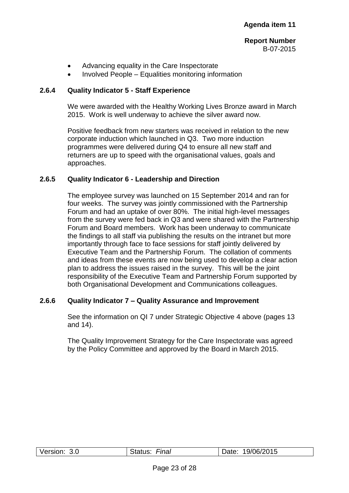- Advancing equality in the Care Inspectorate
- Involved People Equalities monitoring information

## **2.6.4 Quality Indicator 5 - Staff Experience**

We were awarded with the Healthy Working Lives Bronze award in March 2015. Work is well underway to achieve the silver award now.

Positive feedback from new starters was received in relation to the new corporate induction which launched in Q3. Two more induction programmes were delivered during Q4 to ensure all new staff and returners are up to speed with the organisational values, goals and approaches.

## **2.6.5 Quality Indicator 6 - Leadership and Direction**

The employee survey was launched on 15 September 2014 and ran for four weeks. The survey was jointly commissioned with the Partnership Forum and had an uptake of over 80%. The initial high-level messages from the survey were fed back in Q3 and were shared with the Partnership Forum and Board members. Work has been underway to communicate the findings to all staff via publishing the results on the intranet but more importantly through face to face sessions for staff jointly delivered by Executive Team and the Partnership Forum. The collation of comments and ideas from these events are now being used to develop a clear action plan to address the issues raised in the survey. This will be the joint responsibility of the Executive Team and Partnership Forum supported by both Organisational Development and Communications colleagues.

## **2.6.6 Quality Indicator 7 – Quality Assurance and Improvement**

See the information on QI 7 under Strategic Objective 4 above (pages 13 and 14).

The Quality Improvement Strategy for the Care Inspectorate was agreed by the Policy Committee and approved by the Board in March 2015.

| Version: | Final<br>Status: | 19/06/2015<br>Date: |
|----------|------------------|---------------------|
|          |                  |                     |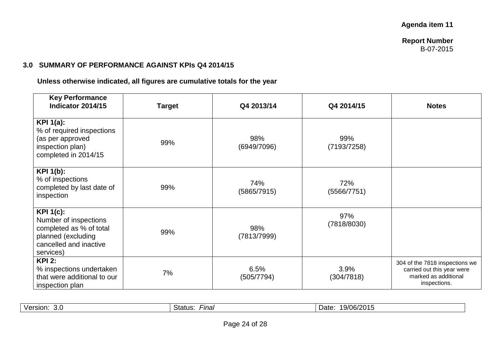## **3.0 SUMMARY OF PERFORMANCE AGAINST KPIs Q4 2014/15**

**Unless otherwise indicated, all figures are cumulative totals for the year**

| <b>Key Performance</b><br>Indicator 2014/15                                                                                       | <b>Target</b> | Q4 2013/14         | Q4 2014/15         | <b>Notes</b>                                                                                         |
|-----------------------------------------------------------------------------------------------------------------------------------|---------------|--------------------|--------------------|------------------------------------------------------------------------------------------------------|
| <b>KPI 1(a):</b><br>% of required inspections<br>(as per approved<br>inspection plan)<br>completed in 2014/15                     | 99%           | 98%<br>(6949/7096) | 99%<br>(7193/7258) |                                                                                                      |
| <b>KPI 1(b):</b><br>% of inspections<br>completed by last date of<br>inspection                                                   | 99%           | 74%<br>(5865/7915) | 72%<br>(5566/7751) |                                                                                                      |
| <b>KPI 1(c):</b><br>Number of inspections<br>completed as % of total<br>planned (excluding<br>cancelled and inactive<br>services) | 99%           | 98%<br>(7813/7999) | 97%<br>(7818/8030) |                                                                                                      |
| <b>KPI 2:</b><br>% inspections undertaken<br>that were additional to our<br>inspection plan                                       | 7%            | 6.5%<br>(505/7794) | 3.9%<br>(304/7818) | 304 of the 7818 inspections we<br>carried out this year were<br>marked as additional<br>inspections. |

| $\cdots$<br>Version.<br>3.0 | -<br>Status:<br>-ınal | 19/06/2015<br>Jate |
|-----------------------------|-----------------------|--------------------|
|-----------------------------|-----------------------|--------------------|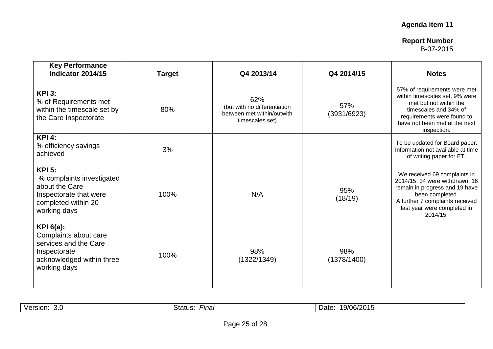| <b>Key Performance</b><br>Indicator 2014/15                                                                                   | <b>Target</b> | Q4 2013/14                                                                           | Q4 2014/15         | <b>Notes</b>                                                                                                                                                                                      |
|-------------------------------------------------------------------------------------------------------------------------------|---------------|--------------------------------------------------------------------------------------|--------------------|---------------------------------------------------------------------------------------------------------------------------------------------------------------------------------------------------|
| <b>KPI 3:</b><br>% of Requirements met<br>within the timescale set by<br>the Care Inspectorate                                | 80%           | 62%<br>(but with no differentiation<br>between met within/outwith<br>timescales set) | 57%<br>(3931/6923) | 57% of requirements were met<br>within timescales set, 9% were<br>met but not within the<br>timescales and 34% of<br>requirements were found to<br>have not been met at the next<br>inspection.   |
| <b>KPI 4:</b><br>% efficiency savings<br>achieved                                                                             | 3%            |                                                                                      |                    | To be updated for Board paper.<br>Information not available at time<br>of writing paper for ET.                                                                                                   |
| <b>KPI 5:</b><br>% complaints investigated<br>about the Care<br>Inspectorate that were<br>completed within 20<br>working days | 100%          | N/A                                                                                  | 95%<br>(18/19)     | We received 69 complaints in<br>2014/15. 34 were withdrawn, 16<br>remain in progress and 19 have<br>been completed.<br>A further 7 complaints received<br>last year were completed in<br>2014/15. |
| KPI $6(a)$ :<br>Complaints about care<br>services and the Care<br>Inspectorate<br>acknowledged within three<br>working days   | 100%          | 98%<br>(1322/1349)                                                                   | 98%<br>(1378/1400) |                                                                                                                                                                                                   |

| ,9/06/2011<br>Date<br>-ınaı<br>Versior<br>Status<br>v.v |
|---------------------------------------------------------|
|---------------------------------------------------------|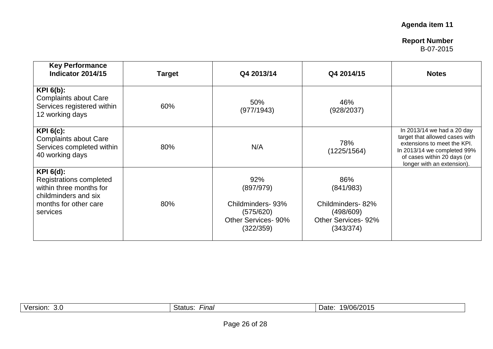# **Agenda item 11**

## **Report Number** B-07-2015

| <b>Key Performance</b><br>Indicator 2014/15                                                                                     | <b>Target</b> | Q4 2013/14                                                                            | Q4 2014/15                                                                            | <b>Notes</b>                                                                                                                                                                            |
|---------------------------------------------------------------------------------------------------------------------------------|---------------|---------------------------------------------------------------------------------------|---------------------------------------------------------------------------------------|-----------------------------------------------------------------------------------------------------------------------------------------------------------------------------------------|
| $KPI_6(b)$ :<br><b>Complaints about Care</b><br>Services registered within<br>12 working days                                   | 60%           | 50%<br>(977/1943)                                                                     | 46%<br>(928/2037)                                                                     |                                                                                                                                                                                         |
| $KPI 6(c)$ :<br><b>Complaints about Care</b><br>Services completed within<br>40 working days                                    | 80%           | N/A                                                                                   | 78%<br>(1225/1564)                                                                    | In 2013/14 we had a 20 day<br>target that allowed cases with<br>extensions to meet the KPI.<br>In 2013/14 we completed 99%<br>of cases within 20 days (or<br>longer with an extension). |
| $KPI 6(d)$ :<br>Registrations completed<br>within three months for<br>childminders and six<br>months for other care<br>services | 80%           | 92%<br>(897/979)<br>Childminders-93%<br>(575/620)<br>Other Services- 90%<br>(322/359) | 86%<br>(841/983)<br>Childminders-82%<br>(498/609)<br>Other Services- 92%<br>(343/374) |                                                                                                                                                                                         |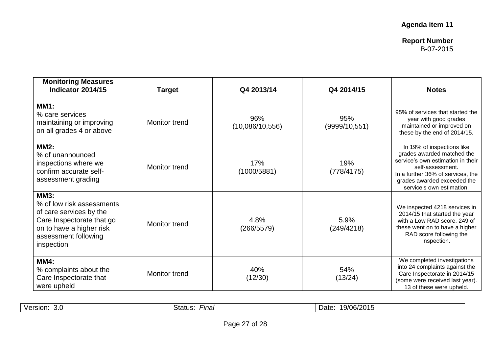| <b>Monitoring Measures</b><br>Indicator 2014/15                                                                                                                    | <b>Target</b>        | Q4 2013/14             | Q4 2014/15            | <b>Notes</b>                                                                                                                                                                                                       |
|--------------------------------------------------------------------------------------------------------------------------------------------------------------------|----------------------|------------------------|-----------------------|--------------------------------------------------------------------------------------------------------------------------------------------------------------------------------------------------------------------|
| <b>MM1:</b><br>% care services<br>maintaining or improving<br>on all grades 4 or above                                                                             | Monitor trend        | 96%<br>(10,086/10,556) | 95%<br>(9999/10, 551) | 95% of services that started the<br>year with good grades<br>maintained or improved on<br>these by the end of 2014/15.                                                                                             |
| <b>MM2:</b><br>% of unannounced<br>inspections where we<br>confirm accurate self-<br>assessment grading                                                            | Monitor trend        | 17%<br>(1000/5881)     | 19%<br>(778/4175)     | In 19% of inspections like<br>grades awarded matched the<br>service's own estimation in their<br>self-assessment.<br>In a further 36% of services, the<br>grades awarded exceeded the<br>service's own estimation. |
| <b>MM3:</b><br>% of low risk assessments<br>of care services by the<br>Care Inspectorate that go<br>on to have a higher risk<br>assessment following<br>inspection | <b>Monitor trend</b> | 4.8%<br>(266/5579)     | 5.9%<br>(249/4218)    | We inspected 4218 services in<br>2014/15 that started the year<br>with a Low RAD score. 249 of<br>these went on to have a higher<br>RAD score following the<br>inspection.                                         |
| $MM4$ :<br>% complaints about the<br>Care Inspectorate that<br>were upheld                                                                                         | Monitor trend        | 40%<br>(12/30)         | 54%<br>(13/24)        | We completed investigations<br>into 24 complaints against the<br>Care Inspectorate in 2014/15<br>(some were received last year).<br>13 of these were upheld.                                                       |

| Version | -ınal   | 9/06/2015 |
|---------|---------|-----------|
| 3.0     | Status: | Date      |